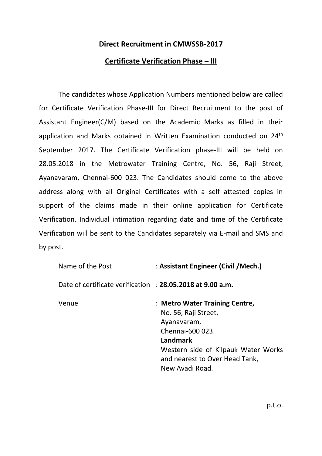## **Direct Recruitment in CMWSSB-2017**

## **Certificate Verification Phase – III**

The candidates whose Application Numbers mentioned below are called for Certificate Verification Phase-III for Direct Recruitment to the post of Assistant Engineer(C/M) based on the Academic Marks as filled in their application and Marks obtained in Written Examination conducted on 24<sup>th</sup> September 2017. The Certificate Verification phase-III will be held on 28.05.2018 in the Metrowater Training Centre, No. 56, Raji Street, Ayanavaram, Chennai-600 023. The Candidates should come to the above address along with all Original Certificates with a self attested copies in support of the claims made in their online application for Certificate Verification. Individual intimation regarding date and time of the Certificate Verification will be sent to the Candidates separately via E-mail and SMS and by post.

| Name of the Post                                          | : Assistant Engineer (Civil / Mech.)                                                                  |  |  |
|-----------------------------------------------------------|-------------------------------------------------------------------------------------------------------|--|--|
| Date of certificate verification: 28.05.2018 at 9.00 a.m. |                                                                                                       |  |  |
| Venue                                                     | : Metro Water Training Centre,<br>No. 56, Raji Street,<br>Ayanavaram,<br>Chennai-600 023.<br>Landmark |  |  |
|                                                           | Western side of Kilpauk Water Works<br>and nearest to Over Head Tank,<br>New Avadi Road.              |  |  |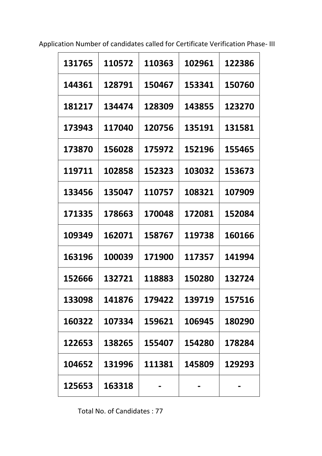Application Number of candidates called for Certificate Verification Phase- III

| 131765 | 110572 | 110363 | 102961 | 122386 |
|--------|--------|--------|--------|--------|
| 144361 | 128791 | 150467 | 153341 | 150760 |
| 181217 | 134474 | 128309 | 143855 | 123270 |
| 173943 | 117040 | 120756 | 135191 | 131581 |
| 173870 | 156028 | 175972 | 152196 | 155465 |
| 119711 | 102858 | 152323 | 103032 | 153673 |
| 133456 | 135047 | 110757 | 108321 | 107909 |
| 171335 | 178663 | 170048 | 172081 | 152084 |
| 109349 | 162071 | 158767 | 119738 | 160166 |
| 163196 | 100039 | 171900 | 117357 | 141994 |
| 152666 | 132721 | 118883 | 150280 | 132724 |
| 133098 | 141876 | 179422 | 139719 | 157516 |
| 160322 | 107334 | 159621 | 106945 | 180290 |
| 122653 | 138265 | 155407 | 154280 | 178284 |
| 104652 | 131996 | 111381 | 145809 | 129293 |
| 125653 | 163318 |        |        |        |

Total No. of Candidates : 77